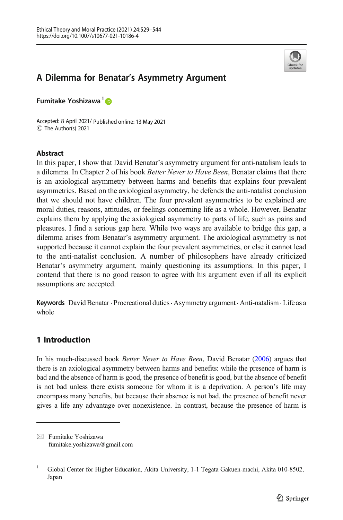

# A Dilemma for Benatar's Asymmetry Argument

Fumitake Yoshizawa<sup>1</sup>

Accepted: 8 April 2021/ Published online: 13 May 2021 C The Author(s) 2021

## Abstract

In this paper, I show that David Benatar's asymmetry argument for anti-natalism leads to a dilemma. In Chapter 2 of his book Better Never to Have Been, Benatar claims that there is an axiological asymmetry between harms and benefits that explains four prevalent asymmetries. Based on the axiological asymmetry, he defends the anti-natalist conclusion that we should not have children. The four prevalent asymmetries to be explained are moral duties, reasons, attitudes, or feelings concerning life as a whole. However, Benatar explains them by applying the axiological asymmetry to parts of life, such as pains and pleasures. I find a serious gap here. While two ways are available to bridge this gap, a dilemma arises from Benatar's asymmetry argument. The axiological asymmetry is not supported because it cannot explain the four prevalent asymmetries, or else it cannot lead to the anti-natalist conclusion. A number of philosophers have already criticized Benatar's asymmetry argument, mainly questioning its assumptions. In this paper, I contend that there is no good reason to agree with his argument even if all its explicit assumptions are accepted.

Keywords David Benatar. Procreational duties. Asymmetry argument . Anti-natalism. Life as a whole

# 1 Introduction

In his much-discussed book Better Never to Have Been, David Benatar [\(2006\)](#page-15-0) argues that there is an axiological asymmetry between harms and benefits: while the presence of harm is bad and the absence of harm is good, the presence of benefit is good, but the absence of benefit is not bad unless there exists someone for whom it is a deprivation. A person's life may encompass many benefits, but because their absence is not bad, the presence of benefit never gives a life any advantage over nonexistence. In contrast, because the presence of harm is

 $\boxtimes$  Fumitake Yoshizawa [fumitake.yoshizawa@gmail.com](mailto:fumitake.yoshizawa@gmail.com)

<sup>1</sup> Global Center for Higher Education, Akita University, 1-1 Tegata Gakuen-machi, Akita 010-8502, Japan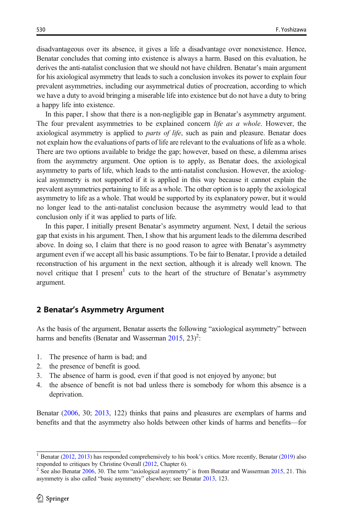disadvantageous over its absence, it gives a life a disadvantage over nonexistence. Hence, Benatar concludes that coming into existence is always a harm. Based on this evaluation, he derives the anti-natalist conclusion that we should not have children. Benatar's main argument for his axiological asymmetry that leads to such a conclusion invokes its power to explain four prevalent asymmetries, including our asymmetrical duties of procreation, according to which we have a duty to avoid bringing a miserable life into existence but do not have a duty to bring a happy life into existence.

In this paper, I show that there is a non-negligible gap in Benatar's asymmetry argument. The four prevalent asymmetries to be explained concern *life as a whole*. However, the axiological asymmetry is applied to *parts of life*, such as pain and pleasure. Benatar does not explain how the evaluations of parts of life are relevant to the evaluations of life as a whole. There are two options available to bridge the gap; however, based on these, a dilemma arises from the asymmetry argument. One option is to apply, as Benatar does, the axiological asymmetry to parts of life, which leads to the anti-natalist conclusion. However, the axiological asymmetry is not supported if it is applied in this way because it cannot explain the prevalent asymmetries pertaining to life as a whole. The other option is to apply the axiological asymmetry to life as a whole. That would be supported by its explanatory power, but it would no longer lead to the anti-natalist conclusion because the asymmetry would lead to that conclusion only if it was applied to parts of life.

In this paper, I initially present Benatar's asymmetry argument. Next, I detail the serious gap that exists in his argument. Then, I show that his argument leads to the dilemma described above. In doing so, I claim that there is no good reason to agree with Benatar's asymmetry argument even if we accept all his basic assumptions. To be fair to Benatar, I provide a detailed reconstruction of his argument in the next section, although it is already well known. The novel critique that I present<sup>1</sup> cuts to the heart of the structure of Benatar's asymmetry argument.

## 2 Benatar's Asymmetry Argument

As the basis of the argument, Benatar asserts the following "axiological asymmetry" between harms and benefits (Benatar and Wasserman  $2015$ ,  $23$ )<sup>2</sup>:

- 1. The presence of harm is bad; and
- 2. the presence of benefit is good.
- 3. The absence of harm is good, even if that good is not enjoyed by anyone; but
- 4. the absence of benefit is not bad unless there is somebody for whom this absence is a deprivation.

Benatar ([2006](#page-15-0), 30; [2013,](#page-15-0) 122) thinks that pains and pleasures are exemplars of harms and benefits and that the asymmetry also holds between other kinds of harms and benefits—for

<sup>&</sup>lt;sup>1</sup> Benatar [\(2012,](#page-15-0) [2013](#page-15-0)) has responded comprehensively to his book's critics. More recently, Benatar [\(2019\)](#page-15-0) also responded to critiques by Christine Overall ([2012](#page-15-0), Chapter 6).<br><sup>2</sup> See also Benatar [2006](#page-15-0), 30. The term "axiological asymmetry" is from Benatar and Wasserman [2015](#page-15-0), 21. This

asymmetry is also called "basic asymmetry" elsewhere; see Benatar [2013,](#page-15-0) 123.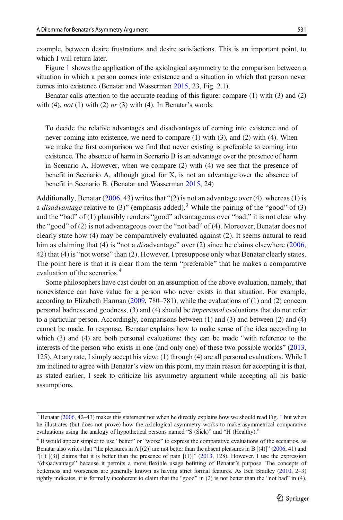example, between desire frustrations and desire satisfactions. This is an important point, to which I will return later.

Figure [1](#page-3-0) shows the application of the axiological asymmetry to the comparison between a situation in which a person comes into existence and a situation in which that person never comes into existence (Benatar and Wasserman [2015](#page-15-0), 23, Fig. 2.1).

Benatar calls attention to the accurate reading of this figure: compare (1) with (3) and (2) with (4), not (1) with (2) or (3) with (4). In Benatar's words:

To decide the relative advantages and disadvantages of coming into existence and of never coming into existence, we need to compare (1) with (3), and (2) with (4). When we make the first comparison we find that never existing is preferable to coming into existence. The absence of harm in Scenario B is an advantage over the presence of harm in Scenario A. However, when we compare (2) with (4) we see that the presence of benefit in Scenario A, although good for X, is not an advantage over the absence of benefit in Scenario B. (Benatar and Wasserman [2015,](#page-15-0) 24)

Additionally, Benatar  $(2006, 43)$  $(2006, 43)$  writes that " $(2)$  is not an advantage over  $(4)$ , whereas  $(1)$  is a *disadvantage* relative to (3)" (emphasis added).<sup>3</sup> While the pairing of the "good" of (3) and the "bad" of (1) plausibly renders "good" advantageous over "bad," it is not clear why the "good" of (2) is not advantageous over the "not bad" of (4). Moreover, Benatar does not clearly state how (4) may be comparatively evaluated against (2). It seems natural to read him as claiming that (4) is "not a *disadvantage*" over (2) since he claims elsewhere ([2006](#page-15-0), 42) that (4) is "not worse" than (2). However, I presuppose only what Benatar clearly states. The point here is that it is clear from the term "preferable" that he makes a comparative evaluation of the scenarios.<sup>4</sup>

Some philosophers have cast doubt on an assumption of the above evaluation, namely, that nonexistence can have value for a person who never exists in that situation. For example, according to Elizabeth Harman [\(2009,](#page-15-0) 780–781), while the evaluations of (1) and (2) concern personal badness and goodness, (3) and (4) should be *impersonal* evaluations that do not refer to a particular person. Accordingly, comparisons between (1) and (3) and between (2) and (4) cannot be made. In response, Benatar explains how to make sense of the idea according to which (3) and (4) are both personal evaluations: they can be made "with reference to the interests of the person who exists in one (and only one) of these two possible worlds" ([2013](#page-15-0), 125). At any rate, I simply accept his view: (1) through (4) are all personal evaluations. While I am inclined to agree with Benatar's view on this point, my main reason for accepting it is that, as stated earlier, I seek to criticize his asymmetry argument while accepting all his basic assumptions.

<sup>&</sup>lt;sup>3</sup> Benatar [\(2006,](#page-15-0) 42-43) makes this statement not when he directly explains how we should read Fig. [1](#page-3-0) but when he illustrates (but does not prove) how the axiological asymmetry works to make asymmetrical comparative evaluations using the analogy of hypothetical persons named "S (Sick)" and "H (Healthy)."

<sup>&</sup>lt;sup>4</sup> It would appear simpler to use "better" or "worse" to express the comparative evaluations of the scenarios, as Benatar also writes that "the pleasures in A  $[(2)]$  are not better than the absent pleasures in B  $[(4)]$ " [\(2006,](#page-15-0) 41) and "[i]t  $[(3)]$  claims that it is better than the presence of pain  $[(1)]$ " ([2013](#page-15-0), 128). However, I use the expression "(dis)advantage" because it permits a more flexible usage befitting of Benatar's purpose. The concepts of betterness and worseness are generally known as having strict formal features. As Ben Bradley [\(2010](#page-15-0), 2–3) rightly indicates, it is formally incoherent to claim that the "good" in (2) is not better than the "not bad" in (4).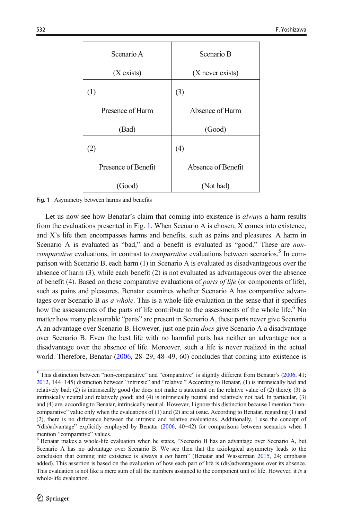<span id="page-3-0"></span>

| Scenario A          | Scenario B         |
|---------------------|--------------------|
| (X exists)          | (X never exists)   |
| (1)                 | (3)                |
| Presence of Harm    | Absence of Harm    |
| (Bad)               | (Good)             |
| (2)                 | (4)                |
| Presence of Benefit | Absence of Benefit |
| (Good)              | (Not bad)          |

Fig. 1 Asymmetry between harms and benefits

Let us now see how Benatar's claim that coming into existence is *always* a harm results from the evaluations presented in Fig. 1. When Scenario A is chosen, X comes into existence, and X's life then encompasses harms and benefits, such as pains and pleasures. A harm in Scenario A is evaluated as "bad," and a benefit is evaluated as "good." These are *noncomparative* evaluations, in contrast to *comparative* evaluations between scenarios.<sup>5</sup> In comparison with Scenario B, each harm (1) in Scenario A is evaluated as disadvantageous over the absence of harm (3), while each benefit (2) is not evaluated as advantageous over the absence of benefit (4). Based on these comparative evaluations of *parts of life* (or components of life), such as pains and pleasures, Benatar examines whether Scenario A has comparative advantages over Scenario B as a whole. This is a whole-life evaluation in the sense that it specifies how the assessments of the parts of life contribute to the assessments of the whole life.<sup>6</sup> No matter how many pleasurable "parts" are present in Scenario A, these parts never give Scenario A an advantage over Scenario B. However, just one pain does give Scenario A a disadvantage over Scenario B. Even the best life with no harmful parts has neither an advantage nor a disadvantage over the absence of life. Moreover, such a life is never realized in the actual world. Therefore, Benatar [\(2006,](#page-15-0) 28–29, 48–49, 60) concludes that coming into existence is

<sup>&</sup>lt;sup>5</sup> This distinction between "non-comparative" and "comparative" is slightly different from Benatar's [\(2006,](#page-15-0) 41; [2012](#page-15-0), 144−145) distinction between "intrinsic" and "relative." According to Benatar, (1) is intrinsically bad and relatively bad; (2) is intrinsically good (he does not make a statement on the relative value of (2) there); (3) is intrinsically neutral and relatively good; and (4) is intrinsically neutral and relatively not bad. In particular, (3) and (4) are, according to Benatar, intrinsically neutral. However, I ignore this distinction because I mention "noncomparative" value only when the evaluations of (1) and (2) are at issue. According to Benatar, regarding (1) and (2), there is no difference between the intrinsic and relative evaluations. Additionally, I use the concept of "(dis)advantage" explicitly employed by Benatar [\(2006,](#page-15-0) 40−42) for comparisons between scenarios when I mention "comparative" values.<br><sup>6</sup> Benatar makes a whole-life evaluation when he states, "Scenario B has an advantage over Scenario A, but

Scenario A has no advantage over Scenario B. We see then that the axiological asymmetry leads to the conclusion that coming into existence is always a net harm" (Benatar and Wasserman [2015](#page-15-0), 24; emphasis added). This assertion is based on the evaluation of how each part of life is (dis)advantageous over its absence. This evaluation is not like a mere sum of all the numbers assigned to the component unit of life. However, it is a whole-life evaluation.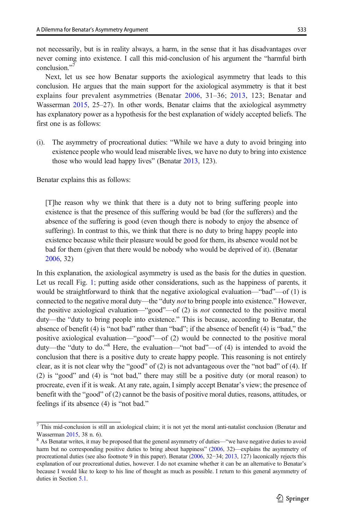not necessarily, but is in reality always, a harm, in the sense that it has disadvantages over never coming into existence. I call this mid-conclusion of his argument the "harmful birth conclusion." 7

Next, let us see how Benatar supports the axiological asymmetry that leads to this conclusion. He argues that the main support for the axiological asymmetry is that it best explains four prevalent asymmetries (Benatar [2006,](#page-15-0) 31–36; [2013,](#page-15-0) 123; Benatar and Wasserman [2015](#page-15-0), 25–27). In other words, Benatar claims that the axiological asymmetry has explanatory power as a hypothesis for the best explanation of widely accepted beliefs. The first one is as follows:

(i). The asymmetry of procreational duties: "While we have a duty to avoid bringing into existence people who would lead miserable lives, we have no duty to bring into existence those who would lead happy lives" (Benatar [2013,](#page-15-0) 123).

Benatar explains this as follows:

[T]he reason why we think that there is a duty not to bring suffering people into existence is that the presence of this suffering would be bad (for the sufferers) and the absence of the suffering is good (even though there is nobody to enjoy the absence of suffering). In contrast to this, we think that there is no duty to bring happy people into existence because while their pleasure would be good for them, its absence would not be bad for them (given that there would be nobody who would be deprived of it). (Benatar [2006,](#page-15-0) 32)

In this explanation, the axiological asymmetry is used as the basis for the duties in question. Let us recall Fig. [1](#page-3-0); putting aside other considerations, such as the happiness of parents, it would be straightforward to think that the negative axiological evaluation—"bad"—of (1) is connected to the negative moral duty—the "duty *not* to bring people into existence." However, the positive axiological evaluation—"good"—of (2) is not connected to the positive moral duty—the "duty to bring people into existence." This is because, according to Benatar, the absence of benefit (4) is "not bad" rather than "bad"; if the absence of benefit (4) is "bad," the positive axiological evaluation—"good"—of (2) would be connected to the positive moral duty—the "duty to do." <sup>8</sup> Here, the evaluation—"not bad"—of (4) is intended to avoid the conclusion that there is a positive duty to create happy people. This reasoning is not entirely clear, as it is not clear why the "good" of (2) is not advantageous over the "not bad" of (4). If (2) is "good" and (4) is "not bad," there may still be a positive duty (or moral reason) to procreate, even if it is weak. At any rate, again, I simply accept Benatar's view; the presence of benefit with the "good" of (2) cannot be the basis of positive moral duties, reasons, attitudes, or feelings if its absence (4) is "not bad."

 $\frac{7}{7}$  This mid-conclusion is still an axiological claim; it is not yet the moral anti-natalist conclusion (Benatar and Wasserman [2015](#page-15-0), 38 n. 6). 8 As Benatar writes, it may be proposed that the general asymmetry of duties—"we have negative duties to avoid

harm but no corresponding positive duties to bring about happiness" [\(2006,](#page-15-0) 32)—explains the asymmetry of procreational duties (see also footnote 9 in this paper). Benatar ([2006](#page-15-0), 32−34; [2013,](#page-15-0) 127) laconically rejects this explanation of our procreational duties, however. I do not examine whether it can be an alternative to Benatar's because I would like to keep to his line of thought as much as possible. I return to this general asymmetry of duties in Section [5.1.](#page-12-0)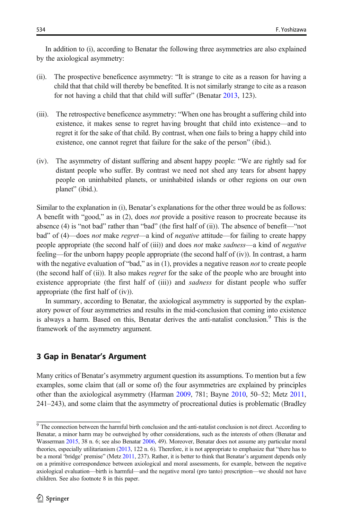In addition to (i), according to Benatar the following three asymmetries are also explained by the axiological asymmetry:

- (ii). The prospective beneficence asymmetry: "It is strange to cite as a reason for having a child that that child will thereby be benefited. It is not similarly strange to cite as a reason for not having a child that that child will suffer" (Benatar [2013,](#page-15-0) 123).
- (iii). The retrospective beneficence asymmetry: "When one has brought a suffering child into existence, it makes sense to regret having brought that child into existence—and to regret it for the sake of that child. By contrast, when one fails to bring a happy child into existence, one cannot regret that failure for the sake of the person" (ibid.).
- (iv). The asymmetry of distant suffering and absent happy people: "We are rightly sad for distant people who suffer. By contrast we need not shed any tears for absent happy people on uninhabited planets, or uninhabited islands or other regions on our own planet" (ibid.).

Similar to the explanation in (i), Benatar's explanations for the other three would be as follows: A benefit with "good," as in (2), does not provide a positive reason to procreate because its absence (4) is "not bad" rather than "bad" (the first half of (ii)). The absence of benefit—"not bad" of (4)—does *not* make *regret*—a kind of *negative* attitude—for failing to create happy people appropriate (the second half of (iii)) and does *not* make *sadness*—a kind of *negative* feeling—for the unborn happy people appropriate (the second half of (iv)). In contrast, a harm with the negative evaluation of "bad," as in (1), provides a negative reason *not* to create people (the second half of (ii)). It also makes regret for the sake of the people who are brought into existence appropriate (the first half of (iii)) and *sadness* for distant people who suffer appropriate (the first half of (iv)).

In summary, according to Benatar, the axiological asymmetry is supported by the explanatory power of four asymmetries and results in the mid-conclusion that coming into existence is always a harm. Based on this, Benatar derives the anti-natalist conclusion.<sup>9</sup> This is the framework of the asymmetry argument.

## 3 Gap in Benatar's Argument

Many critics of Benatar's asymmetry argument question its assumptions. To mention but a few examples, some claim that (all or some of) the four asymmetries are explained by principles other than the axiological asymmetry (Harman [2009](#page-15-0), 781; Bayne [2010](#page-15-0), 50–52; Metz [2011](#page-15-0), 241–243), and some claim that the asymmetry of procreational duties is problematic (Bradley

<sup>&</sup>lt;sup>9</sup> The connection between the harmful birth conclusion and the anti-natalist conclusion is not direct. According to Benatar, a minor harm may be outweighed by other considerations, such as the interests of others (Benatar and Wasserman [2015](#page-15-0), 38 n. 6; see also Benatar [2006](#page-15-0), 49). Moreover, Benatar does not assume any particular moral theories, especially utilitarianism ([2013](#page-15-0), 122 n. 6). Therefore, it is not appropriate to emphasize that "there has to be a moral 'bridge' premise" (Metz [2011,](#page-15-0) 237). Rather, it is better to think that Benatar's argument depends only on a primitive correspondence between axiological and moral assessments, for example, between the negative axiological evaluation—birth is harmful—and the negative moral (pro tanto) prescription—we should not have children. See also footnote 8 in this paper.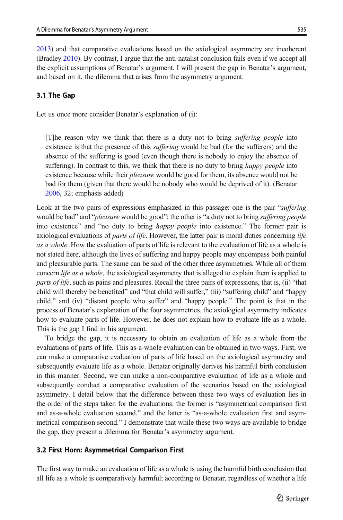<span id="page-6-0"></span>[2013](#page-15-0)) and that comparative evaluations based on the axiological asymmetry are incoherent (Bradley [2010\)](#page-15-0). By contrast, I argue that the anti-natalist conclusion fails even if we accept all the explicit assumptions of Benatar's argument. I will present the gap in Benatar's argument, and based on it, the dilemma that arises from the asymmetry argument.

## 3.1 The Gap

Let us once more consider Benatar's explanation of (i):

[T]he reason why we think that there is a duty not to bring suffering people into existence is that the presence of this *suffering* would be bad (for the sufferers) and the absence of the suffering is good (even though there is nobody to enjoy the absence of suffering). In contrast to this, we think that there is no duty to bring *happy people* into existence because while their *pleasure* would be good for them, its absence would not be bad for them (given that there would be nobody who would be deprived of it). (Benatar [2006,](#page-15-0) 32; emphasis added)

Look at the two pairs of expressions emphasized in this passage: one is the pair "suffering" would be bad" and "pleasure would be good"; the other is "a duty not to bring suffering people into existence" and "no duty to bring *happy people* into existence." The former pair is axiological evaluations of *parts of life*. However, the latter pair is moral duties concerning *life* as a whole. How the evaluation of parts of life is relevant to the evaluation of life as a whole is not stated here, although the lives of suffering and happy people may encompass both painful and pleasurable parts. The same can be said of the other three asymmetries. While all of them concern *life as a whole*, the axiological asymmetry that is alleged to explain them is applied to parts of life, such as pains and pleasures. Recall the three pairs of expressions, that is, (ii) "that child will thereby be benefited" and "that child will suffer," (iii) "suffering child" and "happy child," and (iv) "distant people who suffer" and "happy people." The point is that in the process of Benatar's explanation of the four asymmetries, the axiological asymmetry indicates how to evaluate parts of life. However, he does not explain how to evaluate life as a whole. This is the gap I find in his argument.

To bridge the gap, it is necessary to obtain an evaluation of life as a whole from the evaluations of parts of life. This as-a-whole evaluation can be obtained in two ways. First, we can make a comparative evaluation of parts of life based on the axiological asymmetry and subsequently evaluate life as a whole. Benatar originally derives his harmful birth conclusion in this manner. Second, we can make a non-comparative evaluation of life as a whole and subsequently conduct a comparative evaluation of the scenarios based on the axiological asymmetry. I detail below that the difference between these two ways of evaluation lies in the order of the steps taken for the evaluations: the former is "asymmetrical comparison first and as-a-whole evaluation second," and the latter is "as-a-whole evaluation first and asymmetrical comparison second." I demonstrate that while these two ways are available to bridge the gap, they present a dilemma for Benatar's asymmetry argument.

#### 3.2 First Horn: Asymmetrical Comparison First

The first way to make an evaluation of life as a whole is using the harmful birth conclusion that all life as a whole is comparatively harmful; according to Benatar, regardless of whether a life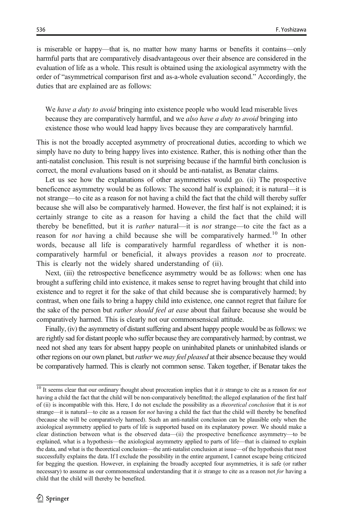is miserable or happy—that is, no matter how many harms or benefits it contains—only harmful parts that are comparatively disadvantageous over their absence are considered in the evaluation of life as a whole. This result is obtained using the axiological asymmetry with the order of "asymmetrical comparison first and as-a-whole evaluation second." Accordingly, the duties that are explained are as follows:

We have a duty to avoid bringing into existence people who would lead miserable lives because they are comparatively harmful, and we also have a duty to avoid bringing into existence those who would lead happy lives because they are comparatively harmful.

This is not the broadly accepted asymmetry of procreational duties, according to which we simply have no duty to bring happy lives into existence. Rather, this is nothing other than the anti-natalist conclusion. This result is not surprising because if the harmful birth conclusion is correct, the moral evaluations based on it should be anti-natalist, as Benatar claims.

Let us see how the explanations of other asymmetries would go. (ii) The prospective beneficence asymmetry would be as follows: The second half is explained; it is natural—it is not strange—to cite as a reason for not having a child the fact that the child will thereby suffer because she will also be comparatively harmed. However, the first half is not explained; it is certainly strange to cite as a reason for having a child the fact that the child will thereby be benefitted, but it is *rather* natural—it is *not* strange—to cite the fact as a reason for not having a child because she will be comparatively harmed.<sup>10</sup> In other words, because all life is comparatively harmful regardless of whether it is noncomparatively harmful or beneficial, it always provides a reason not to procreate. This is clearly not the widely shared understanding of (ii).

Next, (iii) the retrospective beneficence asymmetry would be as follows: when one has brought a suffering child into existence, it makes sense to regret having brought that child into existence and to regret it for the sake of that child because she is comparatively harmed; by contrast, when one fails to bring a happy child into existence, one cannot regret that failure for the sake of the person but *rather should feel at ease* about that failure because she would be comparatively harmed. This is clearly not our commonsensical attitude.

Finally, (iv) the asymmetry of distant suffering and absent happy people would be as follows: we are rightly sad for distant people who suffer because they are comparatively harmed; by contrast, we need not shed any tears for absent happy people on uninhabited planets or uninhabited islands or other regions on our own planet, but *rather* we *may feel pleased* at their absence because they would be comparatively harmed. This is clearly not common sense. Taken together, if Benatar takes the

 $10$  It seems clear that our ordinary thought about procreation implies that it is strange to cite as a reason for *not* having a child the fact that the child will be non-comparatively benefitted; the alleged explanation of the first half of (ii) is incompatible with this. Here, I do not exclude the possibility as a theoretical conclusion that it is not strange—it is natural—to cite as a reason for *not* having a child the fact that the child will thereby be benefited (because she will be comparatively harmed). Such an anti-natalist conclusion can be plausible only when the axiological asymmetry applied to parts of life is supported based on its explanatory power. We should make a clear distinction between what is the observed data—(ii) the prospective beneficence asymmetry—to be explained, what is a hypothesis—the axiological asymmetry applied to parts of life—that is claimed to explain the data, and what is the theoretical conclusion—the anti-natalist conclusion at issue—of the hypothesis that most successfully explains the data. If I exclude the possibility in the entire argument, I cannot escape being criticized for begging the question. However, in explaining the broadly accepted four asymmetries, it is safe (or rather necessary) to assume as our commonsensical understanding that it is strange to cite as a reason not for having a child that the child will thereby be benefited.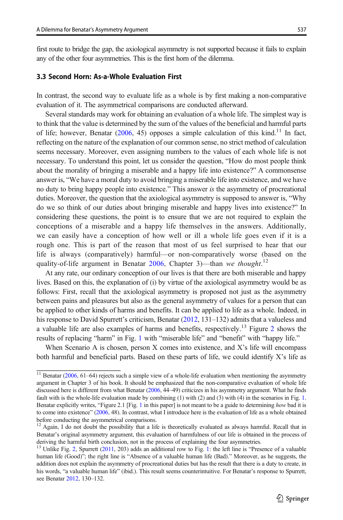<span id="page-8-0"></span>first route to bridge the gap, the axiological asymmetry is not supported because it fails to explain any of the other four asymmetries. This is the first horn of the dilemma.

# 3.3 Second Horn: As-a-Whole Evaluation First

In contrast, the second way to evaluate life as a whole is by first making a non-comparative evaluation of it. The asymmetrical comparisons are conducted afterward.

Several standards may work for obtaining an evaluation of a whole life. The simplest way is to think that the value is determined by the sum of the values of the beneficial and harmful parts of life; however, Benatar ([2006](#page-15-0), 45) opposes a simple calculation of this kind.<sup>11</sup> In fact, reflecting on the nature of the explanation of our common sense, no strict method of calculation seems necessary. Moreover, even assigning numbers to the values of each whole life is not necessary. To understand this point, let us consider the question, "How do most people think about the morality of bringing a miserable and a happy life into existence?" A commonsense answer is, "We have a moral duty to avoid bringing a miserable life into existence, and we have no duty to bring happy people into existence." This answer is the asymmetry of procreational duties. Moreover, the question that the axiological asymmetry is supposed to answer is, "Why do we so think of our duties about bringing miserable and happy lives into existence?" In considering these questions, the point is to ensure that we are not required to explain the conceptions of a miserable and a happy life themselves in the answers. Additionally, we can easily have a conception of how well or ill a whole life goes even if it is a rough one. This is part of the reason that most of us feel surprised to hear that our life is always (comparatively) harmful—or non-comparatively worse (based on the quality-of-life argument in Benatar [2006](#page-15-0), Chapter 3)—than we thought.<sup>12</sup>

At any rate, our ordinary conception of our lives is that there are both miserable and happy lives. Based on this, the explanation of (i) by virtue of the axiological asymmetry would be as follows: First, recall that the axiological asymmetry is proposed not just as the asymmetry between pains and pleasures but also as the general asymmetry of values for a person that can be applied to other kinds of harms and benefits. It can be applied to life as a whole. Indeed, in his response to David Spurrett's criticism, Benatar ([2012](#page-15-0), 131–132) admits that a valueless and a valuable life are also examples of harms and benefits, respectively.13 Figure [2](#page-9-0) shows the results of replacing "harm" in Fig. [1](#page-15-0) with "miserable life" and "benefit" with "happy life."

When Scenario A is chosen, person X comes into existence, and X's life will encompass both harmful and beneficial parts. Based on these parts of life, we could identify X's life as

 $11$  Benatar [\(2006,](#page-15-0) 61–64) rejects such a simple view of a whole-life evaluation when mentioning the asymmetry argument in Chapter 3 of his book. It should be emphasized that the non-comparative evaluation of whole life discussed here is different from what Benatar ([2006](#page-15-0), 44–49) criticizes in his asymmetry argument. What he finds fault with is the whole-life evaluation made by combining (1) with (2) and (3) with (4) in the scenarios in Fig. [1.](#page-3-0) Benatar explicitly writes, "Figure 2.[1](#page-3-0) [Fig. 1 in this paper] is not meant to be a guide to determining how bad it is to come into existence" [\(2006,](#page-15-0) 48). In contrast, what I introduce here is the evaluation of life as a whole obtained before conducting the asymmetrical comparisons.

<sup>&</sup>lt;sup>12</sup> Again, I do not doubt the possibility that a life is theoretically evaluated as always harmful. Recall that in Benatar's original asymmetry argument, this evaluation of harmfulness of our life is obtained in the process of deriving the harmful birth conclusion, not in the process of explaining the four asymmetries.

 $13$  $13$  Unlike Fig. [2,](#page-9-0) Spurrett ([2011](#page-15-0), 203) adds an additional row to Fig. 1: the left line is "Presence of a valuable human life (Good)"; the right line is "Absence of a valuable human life (Bad)." Moreover, as he suggests, the addition does not explain the asymmetry of procreational duties but has the result that there is a duty to create, in his words, "a valuable human life" (ibid.). This result seems counterintuitive. For Benatar's response to Spurrett, see Benatar [2012,](#page-15-0) 130–132.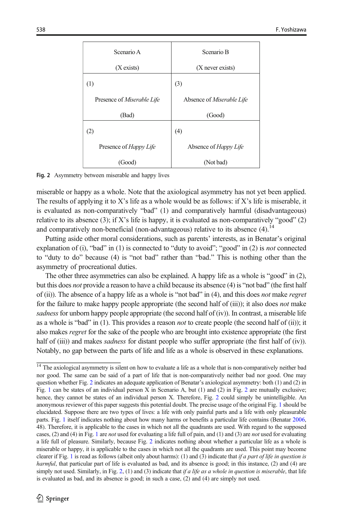<span id="page-9-0"></span>

| Scenario A                        | Scenario B                   |
|-----------------------------------|------------------------------|
| (X exists)                        | (X never exists)             |
| (1)                               | (3)                          |
| Presence of <i>Miserable Life</i> | Absence of Miserable Life    |
| (Bad)                             | (Good)                       |
| (2)                               | (4)                          |
| Presence of Happy Life            | Absence of <i>Happy Life</i> |
| (Good)                            | (Not bad)                    |

Fig. 2 Asymmetry between miserable and happy lives

miserable or happy as a whole. Note that the axiological asymmetry has not yet been applied. The results of applying it to X's life as a whole would be as follows: if X's life is miserable, it is evaluated as non-comparatively "bad" (1) and comparatively harmful (disadvantageous) relative to its absence (3); if X's life is happy, it is evaluated as non-comparatively "good" (2) and comparatively non-beneficial (non-advantageous) relative to its absence  $(4)$ .<sup>14</sup>

Putting aside other moral considerations, such as parents' interests, as in Benatar's original explanation of (i), "bad" in  $(1)$  is connected to "duty to avoid"; "good" in  $(2)$  is *not* connected to "duty to do" because (4) is "not bad" rather than "bad." This is nothing other than the asymmetry of procreational duties.

The other three asymmetries can also be explained. A happy life as a whole is "good" in (2), but this does not provide a reason to have a child because its absence (4) is "not bad" (the first half of (ii)). The absence of a happy life as a whole is "not bad" in  $(4)$ , and this does *not* make *regret* for the failure to make happy people appropriate (the second half of (iii)); it also does *not* make sadness for unborn happy people appropriate (the second half of  $(iv)$ ). In contrast, a miserable life as a whole is "bad" in  $(1)$ . This provides a reason *not* to create people (the second half of  $(ii)$ ); it also makes regret for the sake of the people who are brought into existence appropriate (the first half of (iii)) and makes *sadness* for distant people who suffer appropriate (the first half of (iv)). Notably, no gap between the parts of life and life as a whole is observed in these explanations.

<sup>&</sup>lt;sup>14</sup> The axiological asymmetry is silent on how to evaluate a life as a whole that is non-comparatively neither bad nor good. The same can be said of a part of life that is non-comparatively neither bad nor good. One may question whether Fig. 2 indicates an adequate application of Benatar's axiological asymmetry: both (1) and (2) in Fig. [1](#page-3-0) can be states of an individual person X in Scenario A, but (1) and (2) in Fig. 2 are mutually exclusive; hence, they cannot be states of an individual person X. Therefore, Fig. 2 could simply be unintelligible. An anonymous reviewer of this paper suggests this potential doubt. The precise usage of the original Fig. [1](#page-3-0) should be elucidated. Suppose there are two types of lives: a life with only painful parts and a life with only pleasurable parts. Fig. [1](#page-3-0) itself indicates nothing about how many harms or benefits a particular life contains (Benatar [2006,](#page-15-0) 48). Therefore, it is applicable to the cases in which not all the quadrants are used. With regard to the supposed cases, (2) and (4) in Fig. [1](#page-3-0) are *not* used for evaluating a life full of pain, and (1) and (3) are *not* used for evaluating a life full of pleasure. Similarly, because Fig. 2 indicates nothing about whether a particular life as a whole is miserable or happy, it is applicable to the cases in which not all the quadrants are used. This point may become clearer if Fig. [1](#page-3-0) is read as follows (albeit only about harms): (1) and (3) indicate that if a part of life in question is harmful, that particular part of life is evaluated as bad, and its absence is good; in this instance, (2) and (4) are simply not used. Similarly, in Fig. 2, (1) and (3) indicate that if a life as a whole in question is miserable, that life is evaluated as bad, and its absence is good; in such a case, (2) and (4) are simply not used.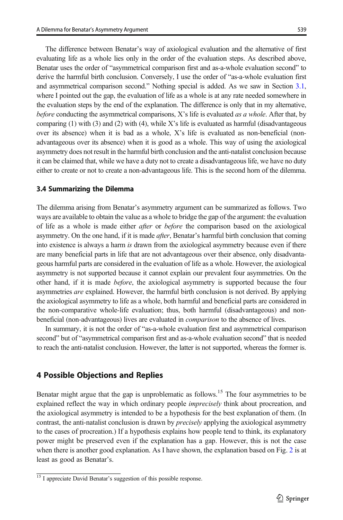The difference between Benatar's way of axiological evaluation and the alternative of first evaluating life as a whole lies only in the order of the evaluation steps. As described above, Benatar uses the order of "asymmetrical comparison first and as-a-whole evaluation second" to derive the harmful birth conclusion. Conversely, I use the order of "as-a-whole evaluation first and asymmetrical comparison second." Nothing special is added. As we saw in Section [3.1](#page-6-0), where I pointed out the gap, the evaluation of life as a whole is at any rate needed somewhere in the evaluation steps by the end of the explanation. The difference is only that in my alternative, before conducting the asymmetrical comparisons, X's life is evaluated as a whole. After that, by comparing  $(1)$  with  $(3)$  and  $(2)$  with  $(4)$ , while X's life is evaluated as harmful (disadvantageous over its absence) when it is bad as a whole, X's life is evaluated as non-beneficial (nonadvantageous over its absence) when it is good as a whole. This way of using the axiological asymmetry does not result in the harmful birth conclusion and the anti-natalist conclusion because it can be claimed that, while we have a duty not to create a disadvantageous life, we have no duty either to create or not to create a non-advantageous life. This is the second horn of the dilemma.

#### 3.4 Summarizing the Dilemma

The dilemma arising from Benatar's asymmetry argument can be summarized as follows. Two ways are available to obtain the value as a whole to bridge the gap of the argument: the evaluation of life as a whole is made either *after* or *before* the comparison based on the axiological asymmetry. On the one hand, if it is made *after*, Benatar's harmful birth conclusion that coming into existence is always a harm is drawn from the axiological asymmetry because even if there are many beneficial parts in life that are not advantageous over their absence, only disadvantageous harmful parts are considered in the evaluation of life as a whole. However, the axiological asymmetry is not supported because it cannot explain our prevalent four asymmetries. On the other hand, if it is made before, the axiological asymmetry is supported because the four asymmetries *are* explained. However, the harmful birth conclusion is not derived. By applying the axiological asymmetry to life as a whole, both harmful and beneficial parts are considered in the non-comparative whole-life evaluation; thus, both harmful (disadvantageous) and nonbeneficial (non-advantageous) lives are evaluated in comparison to the absence of lives.

In summary, it is not the order of "as-a-whole evaluation first and asymmetrical comparison second" but of "asymmetrical comparison first and as-a-whole evaluation second" that is needed to reach the anti-natalist conclusion. However, the latter is not supported, whereas the former is.

#### 4 Possible Objections and Replies

Benatar might argue that the gap is unproblematic as follows.<sup>15</sup> The four asymmetries to be explained reflect the way in which ordinary people *imprecisely* think about procreation, and the axiological asymmetry is intended to be a hypothesis for the best explanation of them. (In contrast, the anti-natalist conclusion is drawn by *precisely* applying the axiological asymmetry to the cases of procreation.) If a hypothesis explains how people tend to think, its explanatory power might be preserved even if the explanation has a gap. However, this is not the case when there is another good explanation. As I have shown, the explanation based on Fig. [2](#page-9-0) is at least as good as Benatar's.

 $\frac{15}{15}$  I appreciate David Benatar's suggestion of this possible response.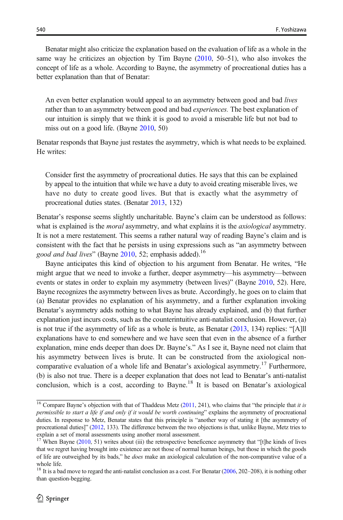Benatar might also criticize the explanation based on the evaluation of life as a whole in the same way he criticizes an objection by Tim Bayne ([2010](#page-15-0), 50–51), who also invokes the concept of life as a whole. According to Bayne, the asymmetry of procreational duties has a better explanation than that of Benatar:

An even better explanation would appeal to an asymmetry between good and bad lives rather than to an asymmetry between good and bad *experiences*. The best explanation of our intuition is simply that we think it is good to avoid a miserable life but not bad to miss out on a good life. (Bayne [2010](#page-15-0), 50)

Benatar responds that Bayne just restates the asymmetry, which is what needs to be explained. He writes:

Consider first the asymmetry of procreational duties. He says that this can be explained by appeal to the intuition that while we have a duty to avoid creating miserable lives, we have no duty to create good lives. But that is exactly what the asymmetry of procreational duties states. (Benatar [2013](#page-15-0), 132)

Benatar's response seems slightly uncharitable. Bayne's claim can be understood as follows: what is explained is the *moral* asymmetry, and what explains it is the *axiological* asymmetry. It is not a mere restatement. This seems a rather natural way of reading Bayne's claim and is consistent with the fact that he persists in using expressions such as "an asymmetry between good and bad lives" (Bayne [2010,](#page-15-0) 52; emphasis added).<sup>16</sup>

Bayne anticipates this kind of objection to his argument from Benatar. He writes, "He might argue that we need to invoke a further, deeper asymmetry—his asymmetry—between events or states in order to explain my asymmetry (between lives)" (Bayne [2010,](#page-15-0) 52). Here, Bayne recognizes the asymmetry between lives as brute. Accordingly, he goes on to claim that (a) Benatar provides no explanation of his asymmetry, and a further explanation invoking Benatar's asymmetry adds nothing to what Bayne has already explained, and (b) that further explanation just incurs costs, such as the counterintuitive anti-natalist conclusion. However, (a) is not true if the asymmetry of life as a whole is brute, as Benatar [\(2013,](#page-15-0) 134) replies: "[A]ll explanations have to end somewhere and we have seen that even in the absence of a further explanation, mine ends deeper than does Dr. Bayne's." As I see it, Bayne need not claim that his asymmetry between lives is brute. It can be constructed from the axiological noncomparative evaluation of a whole life and Benatar's axiological asymmetry.<sup>17</sup> Furthermore, (b) is also not true. There is a deeper explanation that does not lead to Benatar's anti-natalist conclusion, which is a cost, according to Bayne.<sup>18</sup> It is based on Benatar's axiological

 $\frac{16}{16}$  Compare Bayne's objection with that of Thaddeus Metz [\(2011,](#page-15-0) 241), who claims that "the principle that *it is* permissible to start a life if and only if it would be worth continuing" explains the asymmetry of procreational duties. In response to Metz, Benatar states that this principle is "another way of stating it [the asymmetry of procreational duties]" [\(2012,](#page-15-0) 133). The difference between the two objections is that, unlike Bayne, Metz tries to explain a set of moral assessments using another moral assessment.<br><sup>17</sup> When Boxing (2010, 53)

When Bayne  $(2010, 51)$  $(2010, 51)$  $(2010, 51)$  writes about (iii) the retrospective beneficence asymmetry that "[t]he kinds of lives that we regret having brought into existence are not those of normal human beings, but those in which the goods of life are outweighed by its bads," he does make an axiological calculation of the non-comparative value of a whole life.

<sup>&</sup>lt;sup>18</sup> It is a bad move to regard the anti-natalist conclusion as a cost. For Benatar ([2006](#page-15-0), 202–208), it is nothing other than question-begging.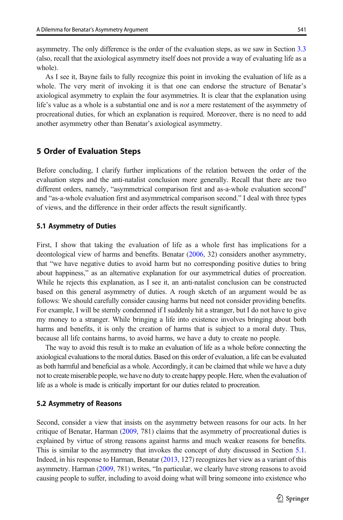<span id="page-12-0"></span>asymmetry. The only difference is the order of the evaluation steps, as we saw in Section [3.3](#page-8-0) (also, recall that the axiological asymmetry itself does not provide a way of evaluating life as a whole).

As I see it, Bayne fails to fully recognize this point in invoking the evaluation of life as a whole. The very merit of invoking it is that one can endorse the structure of Benatar's axiological asymmetry to explain the four asymmetries. It is clear that the explanation using life's value as a whole is a substantial one and is *not* a mere restatement of the asymmetry of procreational duties, for which an explanation is required. Moreover, there is no need to add another asymmetry other than Benatar's axiological asymmetry.

## 5 Order of Evaluation Steps

Before concluding, I clarify further implications of the relation between the order of the evaluation steps and the anti-natalist conclusion more generally. Recall that there are two different orders, namely, "asymmetrical comparison first and as-a-whole evaluation second" and "as-a-whole evaluation first and asymmetrical comparison second." I deal with three types of views, and the difference in their order affects the result significantly.

#### 5.1 Asymmetry of Duties

First, I show that taking the evaluation of life as a whole first has implications for a deontological view of harms and benefits. Benatar [\(2006,](#page-15-0) 32) considers another asymmetry, that "we have negative duties to avoid harm but no corresponding positive duties to bring about happiness," as an alternative explanation for our asymmetrical duties of procreation. While he rejects this explanation, as I see it, an anti-natalist conclusion can be constructed based on this general asymmetry of duties. A rough sketch of an argument would be as follows: We should carefully consider causing harms but need not consider providing benefits. For example, I will be sternly condemned if I suddenly hit a stranger, but I do not have to give my money to a stranger. While bringing a life into existence involves bringing about both harms and benefits, it is only the creation of harms that is subject to a moral duty. Thus, because all life contains harms, to avoid harms, we have a duty to create no people.

The way to avoid this result is to make an evaluation of life as a whole before connecting the axiological evaluations to the moral duties. Based on this order of evaluation, a life can be evaluated as both harmful and beneficial as a whole. Accordingly, it can be claimed that while we have a duty not to create miserable people, we have no duty to create happy people. Here, when the evaluation of life as a whole is made is critically important for our duties related to procreation.

#### 5.2 Asymmetry of Reasons

Second, consider a view that insists on the asymmetry between reasons for our acts. In her critique of Benatar, Harman ([2009](#page-15-0), 781) claims that the asymmetry of procreational duties is explained by virtue of strong reasons against harms and much weaker reasons for benefits. This is similar to the asymmetry that invokes the concept of duty discussed in Section 5.1. Indeed, in his response to Harman, Benatar [\(2013,](#page-15-0) 127) recognizes her view as a variant of this asymmetry. Harman ([2009](#page-15-0), 781) writes, "In particular, we clearly have strong reasons to avoid causing people to suffer, including to avoid doing what will bring someone into existence who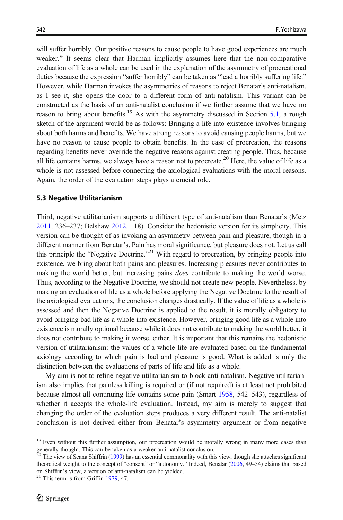will suffer horribly. Our positive reasons to cause people to have good experiences are much weaker." It seems clear that Harman implicitly assumes here that the non-comparative evaluation of life as a whole can be used in the explanation of the asymmetry of procreational duties because the expression "suffer horribly" can be taken as "lead a horribly suffering life." However, while Harman invokes the asymmetries of reasons to reject Benatar's anti-natalism, as I see it, she opens the door to a different form of anti-natalism. This variant can be constructed as the basis of an anti-natalist conclusion if we further assume that we have no reason to bring about benefits.<sup>19</sup> As with the asymmetry discussed in Section [5.1,](#page-12-0) a rough sketch of the argument would be as follows: Bringing a life into existence involves bringing about both harms and benefits. We have strong reasons to avoid causing people harms, but we have no reason to cause people to obtain benefits. In the case of procreation, the reasons regarding benefits never override the negative reasons against creating people. Thus, because all life contains harms, we always have a reason not to procreate.<sup>20</sup> Here, the value of life as a whole is not assessed before connecting the axiological evaluations with the moral reasons. Again, the order of the evaluation steps plays a crucial role.

#### 5.3 Negative Utilitarianism

Third, negative utilitarianism supports a different type of anti-natalism than Benatar's (Metz [2011](#page-15-0), 236–237; Belshaw [2012,](#page-15-0) 118). Consider the hedonistic version for its simplicity. This version can be thought of as invoking an asymmetry between pain and pleasure, though in a different manner from Benatar's. Pain has moral significance, but pleasure does not. Let us call this principle the "Negative Doctrine."<sup>21</sup> With regard to procreation, by bringing people into existence, we bring about both pains and pleasures. Increasing pleasures never contributes to making the world better, but increasing pains *does* contribute to making the world worse. Thus, according to the Negative Doctrine, we should not create new people. Nevertheless, by making an evaluation of life as a whole before applying the Negative Doctrine to the result of the axiological evaluations, the conclusion changes drastically. If the value of life as a whole is assessed and then the Negative Doctrine is applied to the result, it is morally obligatory to avoid bringing bad life as a whole into existence. However, bringing good life as a whole into existence is morally optional because while it does not contribute to making the world better, it does not contribute to making it worse, either. It is important that this remains the hedonistic version of utilitarianism: the values of a whole life are evaluated based on the fundamental axiology according to which pain is bad and pleasure is good. What is added is only the distinction between the evaluations of parts of life and life as a whole.

My aim is not to refine negative utilitarianism to block anti-natalism. Negative utilitarianism also implies that painless killing is required or (if not required) is at least not prohibited because almost all continuing life contains some pain (Smart [1958](#page-15-0), 542–543), regardless of whether it accepts the whole-life evaluation. Instead, my aim is merely to suggest that changing the order of the evaluation steps produces a very different result. The anti-natalist conclusion is not derived either from Benatar's asymmetry argument or from negative

 $19$  Even without this further assumption, our procreation would be morally wrong in many more cases than generally thought. This can be taken as a weaker anti-natalist conclusion.

<sup>20</sup> The view of Seana Shiffrin [\(1999\)](#page-15-0) has an essential commonality with this view, though she attaches significant theoretical weight to the concept of "consent" or "autonomy." Indeed, Benatar [\(2006,](#page-15-0) 49–54) claims that based on Shiffrin's view, a version of anti-natalism can be yielded. <sup>21</sup> This term is from Griffin [1979,](#page-15-0) 47.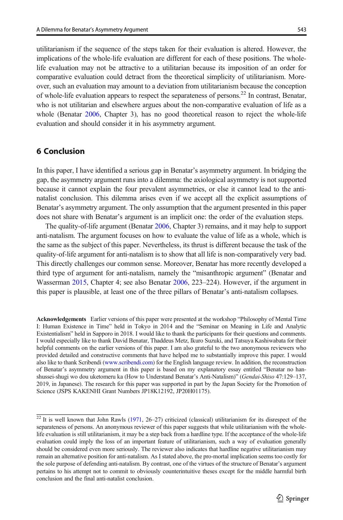utilitarianism if the sequence of the steps taken for their evaluation is altered. However, the implications of the whole-life evaluation are different for each of these positions. The wholelife evaluation may not be attractive to a utilitarian because its imposition of an order for comparative evaluation could detract from the theoretical simplicity of utilitarianism. Moreover, such an evaluation may amount to a deviation from utilitarianism because the conception of whole-life evaluation appears to respect the separateness of persons.<sup>22</sup> In contrast, Benatar, who is not utilitarian and elsewhere argues about the non-comparative evaluation of life as a whole (Benatar [2006,](#page-15-0) Chapter 3), has no good theoretical reason to reject the whole-life evaluation and should consider it in his asymmetry argument.

# 6 Conclusion

In this paper, I have identified a serious gap in Benatar's asymmetry argument. In bridging the gap, the asymmetry argument runs into a dilemma: the axiological asymmetry is not supported because it cannot explain the four prevalent asymmetries, or else it cannot lead to the antinatalist conclusion. This dilemma arises even if we accept all the explicit assumptions of Benatar's asymmetry argument. The only assumption that the argument presented in this paper does not share with Benatar's argument is an implicit one: the order of the evaluation steps.

The quality-of-life argument (Benatar [2006,](#page-15-0) Chapter 3) remains, and it may help to support anti-natalism. The argument focuses on how to evaluate the value of life as a whole, which is the same as the subject of this paper. Nevertheless, its thrust is different because the task of the quality-of-life argument for anti-natalism is to show that all life is non-comparatively very bad. This directly challenges our common sense. Moreover, Benatar has more recently developed a third type of argument for anti-natalism, namely the "misanthropic argument" (Benatar and Wasserman [2015](#page-15-0), Chapter 4; see also Benatar [2006](#page-15-0), 223–224). However, if the argument in this paper is plausible, at least one of the three pillars of Benatar's anti-natalism collapses.

Acknowledgements Earlier versions of this paper were presented at the workshop "Philosophy of Mental Time I: Human Existence in Time" held in Tokyo in 2014 and the "Seminar on Meaning in Life and Analytic Existentialism" held in Sapporo in 2018. I would like to thank the participants for their questions and comments. I would especially like to thank David Benatar, Thaddeus Metz, Ikuro Suzuki, and Tatsuya Kashiwabata for their helpful comments on the earlier versions of this paper. I am also grateful to the two anonymous reviewers who provided detailed and constructive comments that have helped me to substantially improve this paper. I would also like to thank Scribendi [\(www.scribendi.com\)](http://www.scribendi.com) for the English language review. In addition, the reconstruction of Benatar's asymmetry argument in this paper is based on my explanatory essay entitled "Benatar no hanshussei-shugi wo dou uketomeru ka (How to Understand Benatar's Anti-Natalism)" (Gendai-Shiso 47:129–137, 2019, in Japanese). The research for this paper was supported in part by the Japan Society for the Promotion of Science (JSPS KAKENHI Grant Numbers JP18K12192, JP20H01175).

 $\frac{22 \text{ It is well known that John Rawls} (1971, 26-27)$  $\frac{22 \text{ It is well known that John Rawls} (1971, 26-27)$  $\frac{22 \text{ It is well known that John Rawls} (1971, 26-27)$  criticized (classical) utilitarianism for its disrespect of the separateness of persons. An anonymous reviewer of this paper suggests that while utilitarianism with the wholelife evaluation is still utilitarianism, it may be a step back from a hardline type. If the acceptance of the whole-life evaluation could imply the loss of an important feature of utilitarianism, such a way of evaluation generally should be considered even more seriously. The reviewer also indicates that hardline negative utilitarianism may remain an alternative position for anti-natalism. As I stated above, the pro-mortal implication seems too costly for the sole purpose of defending anti-natalism. By contrast, one of the virtues of the structure of Benatar's argument pertains to his attempt not to commit to obviously counterintuitive theses except for the middle harmful birth conclusion and the final anti-natalist conclusion.